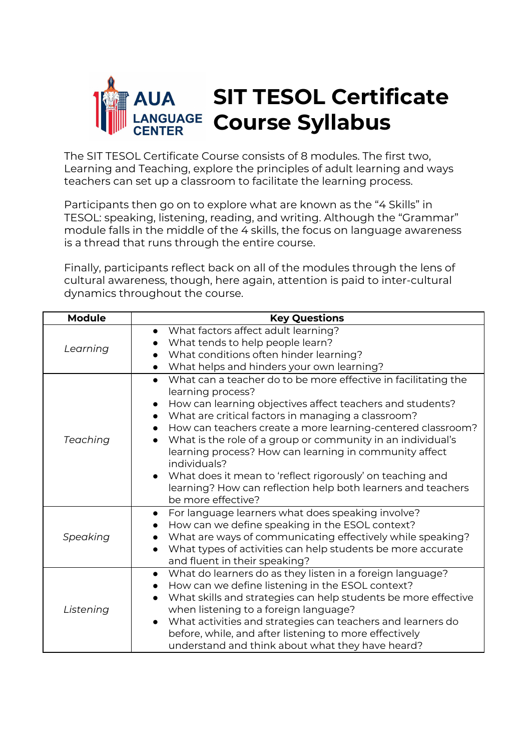

The SIT TESOL Certificate Course consists of 8 modules. The first two, Learning and Teaching, explore the principles of adult learning and ways teachers can set up a classroom to facilitate the learning process.

Participants then go on to explore what are known as the "4 Skills" in TESOL: speaking, listening, reading, and writing. Although the "Grammar" module falls in the middle of the 4 skills, the focus on language awareness is a thread that runs through the entire course.

Finally, participants reflect back on all of the modules through the lens of cultural awareness, though, here again, attention is paid to inter-cultural dynamics throughout the course.

| <b>Module</b> | <b>Key Questions</b>                                                                                                                                                                                                                                                                                                                                                                                                                                                                                                                        |
|---------------|---------------------------------------------------------------------------------------------------------------------------------------------------------------------------------------------------------------------------------------------------------------------------------------------------------------------------------------------------------------------------------------------------------------------------------------------------------------------------------------------------------------------------------------------|
| Learning      | What factors affect adult learning?                                                                                                                                                                                                                                                                                                                                                                                                                                                                                                         |
|               | What tends to help people learn?                                                                                                                                                                                                                                                                                                                                                                                                                                                                                                            |
|               | What conditions often hinder learning?                                                                                                                                                                                                                                                                                                                                                                                                                                                                                                      |
|               | What helps and hinders your own learning?                                                                                                                                                                                                                                                                                                                                                                                                                                                                                                   |
| Teaching      | What can a teacher do to be more effective in facilitating the<br>learning process?<br>How can learning objectives affect teachers and students?<br>What are critical factors in managing a classroom?<br>How can teachers create a more learning-centered classroom?<br>What is the role of a group or community in an individual's<br>learning process? How can learning in community affect<br>individuals?<br>What does it mean to 'reflect rigorously' on teaching and<br>learning? How can reflection help both learners and teachers |
|               | be more effective?                                                                                                                                                                                                                                                                                                                                                                                                                                                                                                                          |
| Speaking      | For language learners what does speaking involve?<br>How can we define speaking in the ESOL context?<br>What are ways of communicating effectively while speaking?<br>What types of activities can help students be more accurate<br>and fluent in their speaking?                                                                                                                                                                                                                                                                          |
| Listening     | What do learners do as they listen in a foreign language?<br>$\bullet$<br>How can we define listening in the ESOL context?<br>What skills and strategies can help students be more effective<br>when listening to a foreign language?<br>What activities and strategies can teachers and learners do<br>before, while, and after listening to more effectively<br>understand and think about what they have heard?                                                                                                                          |